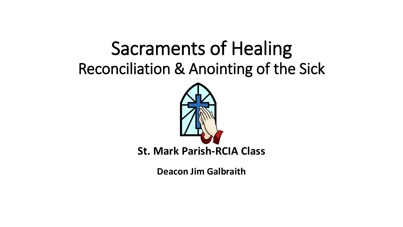# Sacraments of Healing Reconciliation & Anointing of the Sick



**St. Mark Parish-RCIA Class**

**Deacon Jim Galbraith**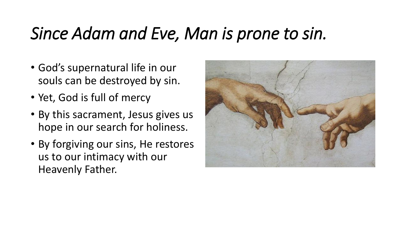#### *Since Adam and Eve, Man is prone to sin.*

- God's supernatural life in our souls can be destroyed by sin.
- Yet, God is full of mercy
- By this sacrament, Jesus gives us hope in our search for holiness.
- By forgiving our sins, He restores us to our intimacy with our Heavenly Father.

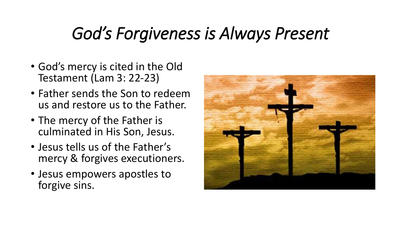#### *God's Forgiveness is Always Present*

- God's mercy is cited in the Old Testament (Lam 3: 22-23)
- Father sends the Son to redeem us and restore us to the Father.
- The mercy of the Father is culminated in His Son, Jesus.
- Jesus tells us of the Father's mercy & forgives executioners.
- Jesus empowers apostles to forgive sins.

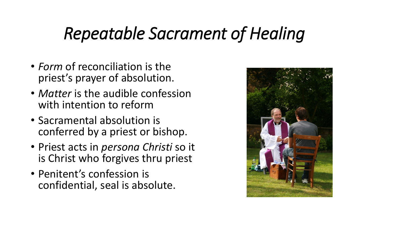#### *Repeatable Sacrament of Healing*

- *Form* of reconciliation is the priest's prayer of absolution.
- *Matter* is the audible confession with intention to reform
- Sacramental absolution is conferred by a priest or bishop.
- Priest acts in *persona Christi* so it is Christ who forgives thru priest
- Penitent's confession is confidential, seal is absolute.

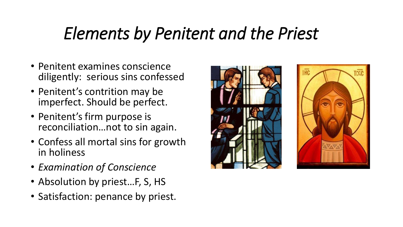#### *Elements by Penitent and the Priest*

- Penitent examines conscience diligently: serious sins confessed
- Penitent's contrition may be imperfect. Should be perfect.
- Penitent's firm purpose is reconciliation…not to sin again.
- Confess all mortal sins for growth in holiness
- *Examination of Conscience*
- Absolution by priest...F, S, HS
- Satisfaction: penance by priest.



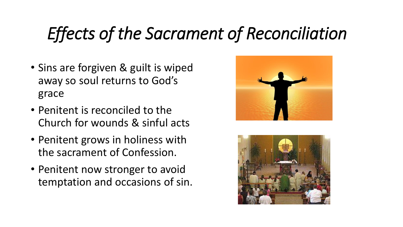# *Effects of the Sacrament of Reconciliation*

- Sins are forgiven & guilt is wiped away so soul returns to God's grace
- Penitent is reconciled to the Church for wounds & sinful acts
- Penitent grows in holiness with the sacrament of Confession.
- Penitent now stronger to avoid temptation and occasions of sin.



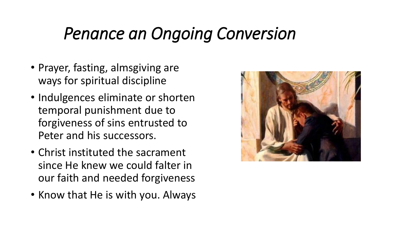#### *Penance an Ongoing Conversion*

- Prayer, fasting, almsgiving are ways for spiritual discipline
- Indulgences eliminate or shorten temporal punishment due to forgiveness of sins entrusted to Peter and his successors.
- Christ instituted the sacrament since He knew we could falter in our faith and needed forgiveness
- Know that He is with you. Always

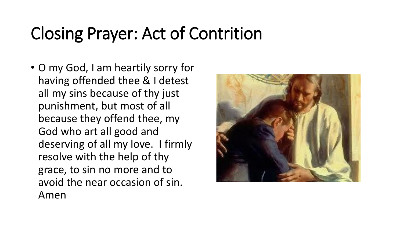## Closing Prayer: Act of Contrition

• O my God, I am heartily sorry for having offended thee & I detest all my sins because of thy just punishment, but most of all because they offend thee, my God who art all good and deserving of all my love. I firmly resolve with the help of thy grace, to sin no more and to avoid the near occasion of sin. Amen

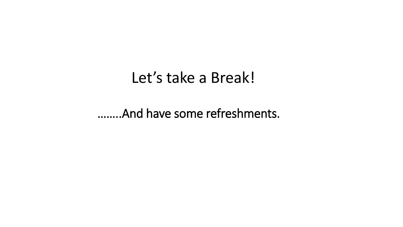#### Let's take a Break!

……..And have some refreshments.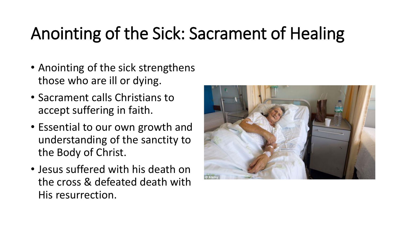# Anointing of the Sick: Sacrament of Healing

- Anointing of the sick strengthens those who are ill or dying.
- Sacrament calls Christians to accept suffering in faith.
- Essential to our own growth and understanding of the sanctity to the Body of Christ.
- Jesus suffered with his death on the cross & defeated death with His resurrection.

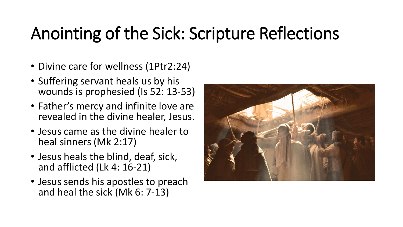# Anointing of the Sick: Scripture Reflections

- Divine care for wellness (1Ptr2:24)
- Suffering servant heals us by his wounds is prophesied (Is 52: 13-53)
- Father's mercy and infinite love are revealed in the divine healer, Jesus.
- Jesus came as the divine healer to heal sinners (Mk 2:17)
- Jesus heals the blind, deaf, sick, and afflicted (Lk 4: 16-21)
- Jesus sends his apostles to preach and heal the sick (Mk 6: 7-13)

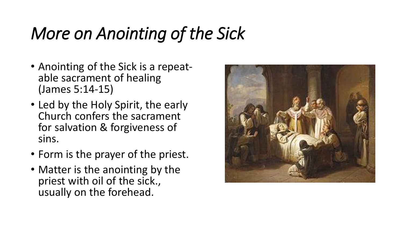# *More on Anointing of the Sick*

- Anointing of the Sick is a repeatable sacrament of healing (James 5:14-15)
- Led by the Holy Spirit, the early Church confers the sacrament for salvation & forgiveness of sins.
- Form is the prayer of the priest.
- Matter is the anointing by the priest with oil of the sick., usually on the forehead.

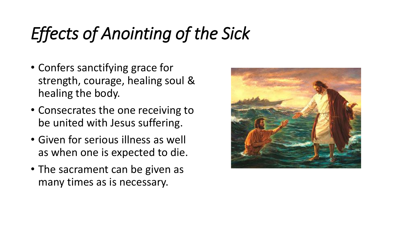# *Effects of Anointing of the Sick*

- Confers sanctifying grace for strength, courage, healing soul & healing the body.
- Consecrates the one receiving to be united with Jesus suffering.
- Given for serious illness as well as when one is expected to die.
- The sacrament can be given as many times as is necessary.

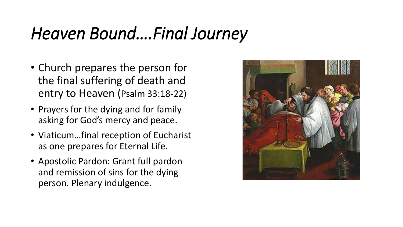#### *Heaven Bound….Final Journey*

- Church prepares the person for the final suffering of death and entry to Heaven (Psalm 33:18-22)
- Prayers for the dying and for family asking for God's mercy and peace.
- Viaticum…final reception of Eucharist as one prepares for Eternal Life.
- Apostolic Pardon: Grant full pardon and remission of sins for the dying person. Plenary indulgence.

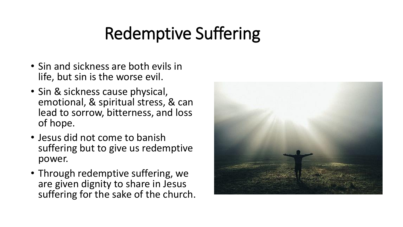# Redemptive Suffering

- Sin and sickness are both evils in life, but sin is the worse evil.
- Sin & sickness cause physical, emotional, & spiritual stress, & can lead to sorrow, bitterness, and loss of hope.
- Jesus did not come to banish suffering but to give us redemptive power.
- Through redemptive suffering, we are given dignity to share in Jesus suffering for the sake of the church.

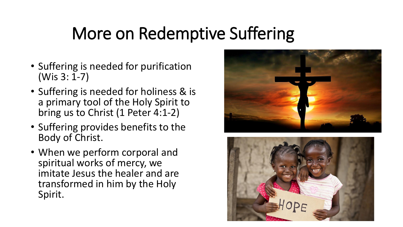### More on Redemptive Suffering

- Suffering is needed for purification (Wis 3: 1-7)
- Suffering is needed for holiness & is a primary tool of the Holy Spirit to bring us to Christ (1 Peter 4:1-2)
- Suffering provides benefits to the Body of Christ.
- When we perform corporal and spiritual works of mercy, we imitate Jesus the healer and are transformed in him by the Holy Spirit.



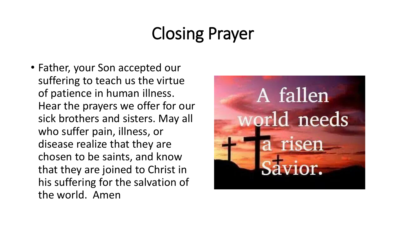# Closing Prayer

• Father, your Son accepted our suffering to teach us the virtue of patience in human illness. Hear the prayers we offer for our sick brothers and sisters. May all who suffer pain, illness, or disease realize that they are chosen to be saints, and know that they are joined to Christ in his suffering for the salvation of the world. Amen